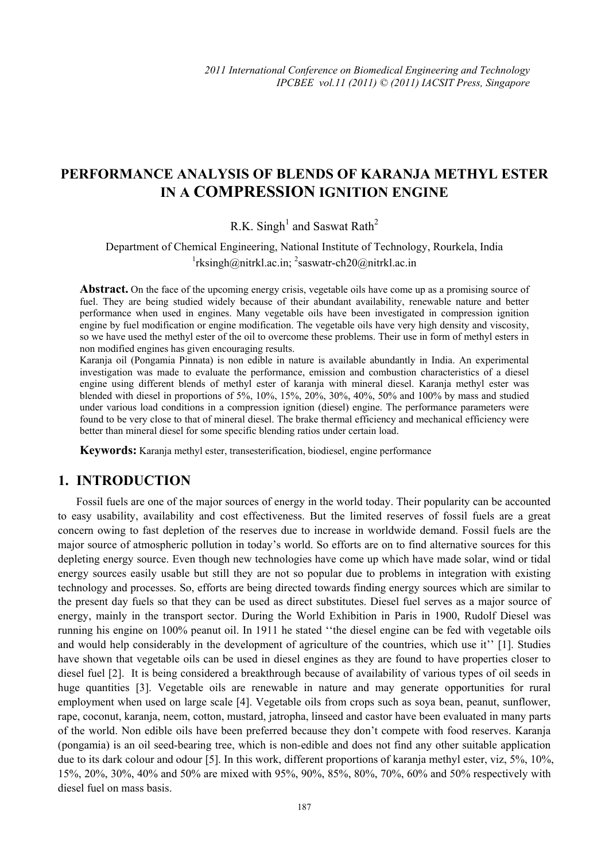# **PERFORMANCE ANALYSIS OF BLENDS OF KARANJA METHYL ESTER IN A COMPRESSION IGNITION ENGINE**

R.K. Singh<sup>1</sup> and Saswat Rath<sup>2</sup>

Department of Chemical Engineering, National Institute of Technology, Rourkela, India <sup>1</sup>rksingh@nitrkl.ac.in; <sup>2</sup>saswatr-ch20@nitrkl.ac.in

**Abstract.** On the face of the upcoming energy crisis, vegetable oils have come up as a promising source of fuel. They are being studied widely because of their abundant availability, renewable nature and better performance when used in engines. Many vegetable oils have been investigated in compression ignition engine by fuel modification or engine modification. The vegetable oils have very high density and viscosity, so we have used the methyl ester of the oil to overcome these problems. Their use in form of methyl esters in non modified engines has given encouraging results.

Karanja oil (Pongamia Pinnata) is non edible in nature is available abundantly in India. An experimental investigation was made to evaluate the performance, emission and combustion characteristics of a diesel engine using different blends of methyl ester of karanja with mineral diesel. Karanja methyl ester was blended with diesel in proportions of 5%, 10%, 15%, 20%, 30%, 40%, 50% and 100% by mass and studied under various load conditions in a compression ignition (diesel) engine. The performance parameters were found to be very close to that of mineral diesel. The brake thermal efficiency and mechanical efficiency were better than mineral diesel for some specific blending ratios under certain load.

**Keywords:** Karanja methyl ester, transesterification, biodiesel, engine performance

## **1. INTRODUCTION**

Fossil fuels are one of the major sources of energy in the world today. Their popularity can be accounted to easy usability, availability and cost effectiveness. But the limited reserves of fossil fuels are a great concern owing to fast depletion of the reserves due to increase in worldwide demand. Fossil fuels are the major source of atmospheric pollution in today's world. So efforts are on to find alternative sources for this depleting energy source. Even though new technologies have come up which have made solar, wind or tidal energy sources easily usable but still they are not so popular due to problems in integration with existing technology and processes. So, efforts are being directed towards finding energy sources which are similar to the present day fuels so that they can be used as direct substitutes. Diesel fuel serves as a major source of energy, mainly in the transport sector. During the World Exhibition in Paris in 1900, Rudolf Diesel was running his engine on 100% peanut oil. In 1911 he stated ''the diesel engine can be fed with vegetable oils and would help considerably in the development of agriculture of the countries, which use it'' [1]. Studies have shown that vegetable oils can be used in diesel engines as they are found to have properties closer to diesel fuel [2]. It is being considered a breakthrough because of availability of various types of oil seeds in huge quantities [3]. Vegetable oils are renewable in nature and may generate opportunities for rural employment when used on large scale [4]. Vegetable oils from crops such as soya bean, peanut, sunflower, rape, coconut, karanja, neem, cotton, mustard, jatropha, linseed and castor have been evaluated in many parts of the world. Non edible oils have been preferred because they don't compete with food reserves. Karanja (pongamia) is an oil seed-bearing tree, which is non-edible and does not find any other suitable application due to its dark colour and odour [5]. In this work, different proportions of karanja methyl ester, viz, 5%, 10%, 15%, 20%, 30%, 40% and 50% are mixed with 95%, 90%, 85%, 80%, 70%, 60% and 50% respectively with diesel fuel on mass basis.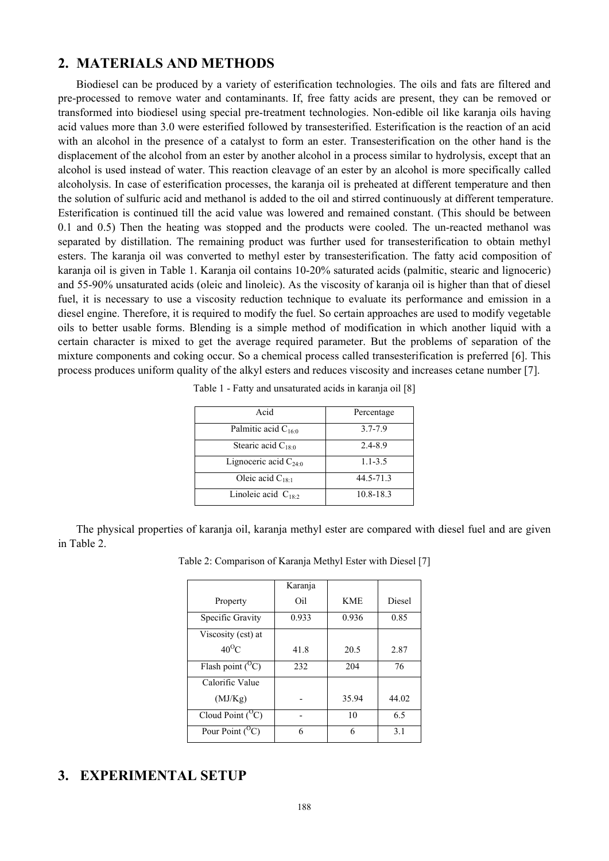# **2. MATERIALS AND METHODS**

Biodiesel can be produced by a variety of esterification technologies. The oils and fats are filtered and pre-processed to remove water and contaminants. If, free fatty acids are present, they can be removed or transformed into biodiesel using special pre-treatment technologies. Non-edible oil like karanja oils having acid values more than 3.0 were esterified followed by transesterified. Esterification is the reaction of an acid with an alcohol in the presence of a catalyst to form an ester. Transesterification on the other hand is the displacement of the alcohol from an ester by another alcohol in a process similar to hydrolysis, except that an alcohol is used instead of water. This reaction cleavage of an ester by an alcohol is more specifically called alcoholysis. In case of esterification processes, the karanja oil is preheated at different temperature and then the solution of sulfuric acid and methanol is added to the oil and stirred continuously at different temperature. Esterification is continued till the acid value was lowered and remained constant. (This should be between 0.1 and 0.5) Then the heating was stopped and the products were cooled. The un-reacted methanol was separated by distillation. The remaining product was further used for transesterification to obtain methyl esters. The karanja oil was converted to methyl ester by transesterification. The fatty acid composition of karanja oil is given in Table 1. Karanja oil contains 10-20% saturated acids (palmitic, stearic and lignoceric) and 55-90% unsaturated acids (oleic and linoleic). As the viscosity of karanja oil is higher than that of diesel fuel, it is necessary to use a viscosity reduction technique to evaluate its performance and emission in a diesel engine. Therefore, it is required to modify the fuel. So certain approaches are used to modify vegetable oils to better usable forms. Blending is a simple method of modification in which another liquid with a certain character is mixed to get the average required parameter. But the problems of separation of the mixture components and coking occur. So a chemical process called transesterification is preferred [6]. This process produces uniform quality of the alkyl esters and reduces viscosity and increases cetane number [7].

| Acid                      | Percentage  |
|---------------------------|-------------|
| Palmitic acid $C_{16:0}$  | $3.7 - 7.9$ |
| Stearic acid $C_{18:0}$   | 2.4-8.9     |
| Lignoceric acid $C_{240}$ | $1.1 - 3.5$ |
| Oleic acid $C_{18:1}$     | 44.5-71.3   |
| Linoleic acid $C_{18.2}$  | 10.8-18.3   |

|  | Table 1 - Fatty and unsaturated acids in karanja oil [8] |  |  |
|--|----------------------------------------------------------|--|--|
|  |                                                          |  |  |

The physical properties of karanja oil, karanja methyl ester are compared with diesel fuel and are given in Table 2.

|                       | Karanja |            |        |
|-----------------------|---------|------------|--------|
| Property              | Oil     | <b>KME</b> | Diesel |
| Specific Gravity      | 0.933   | 0.936      | 0.85   |
| Viscosity (cst) at    |         |            |        |
| $40^{\circ}$ C        | 41.8    | 20.5       | 2.87   |
| Flash point $(^{O}C)$ | 232     | 204        | 76     |
| Calorific Value       |         |            |        |
| (MJ/Kg)               |         | 35.94      | 44.02  |
| Cloud Point $(^{O}C)$ |         | 10         | 6.5    |
| Pour Point $(^{O}C)$  | 6       | 6          | 3.1    |

| Table 2: Comparison of Karanja Methyl Ester with Diesel [7] |  |  |  |
|-------------------------------------------------------------|--|--|--|
|                                                             |  |  |  |

# **3. EXPERIMENTAL SETUP**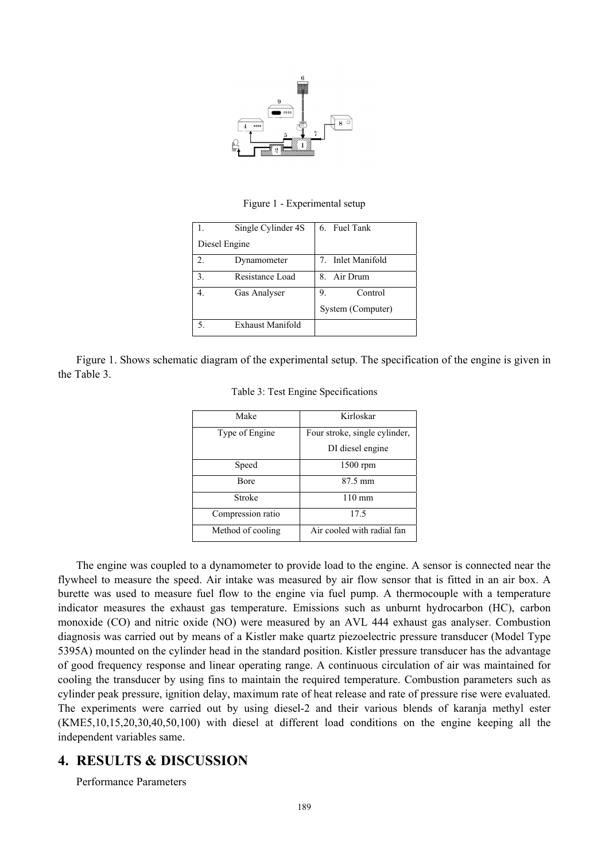

Figure 1 - Experimental setup

|               | Single Cylinder 4S | 6. Fuel Tank      |
|---------------|--------------------|-------------------|
| Diesel Engine |                    |                   |
| 2.            | Dynamometer        | 7. Inlet Manifold |
| 3.            | Resistance Load    | 8. Air Drum       |
| 4.            | Gas Analyser       | Control<br>9.     |
|               |                    | System (Computer) |
|               | Exhaust Manifold   |                   |

Figure 1. Shows schematic diagram of the experimental setup. The specification of the engine is given in the Table 3.

| Kirloskar                     |
|-------------------------------|
| Four stroke, single cylinder, |
| DI diesel engine              |
| $1500$ rpm                    |
| 87.5 mm                       |
| $110 \text{ mm}$              |
| 17.5                          |
| Air cooled with radial fan    |
|                               |

The engine was coupled to a dynamometer to provide load to the engine. A sensor is connected near the flywheel to measure the speed. Air intake was measured by air flow sensor that is fitted in an air box. A burette was used to measure fuel flow to the engine via fuel pump. A thermocouple with a temperature indicator measures the exhaust gas temperature. Emissions such as unburnt hydrocarbon (HC), carbon monoxide (CO) and nitric oxide (NO) were measured by an AVL 444 exhaust gas analyser. Combustion diagnosis was carried out by means of a Kistler make quartz piezoelectric pressure transducer (Model Type 5395A) mounted on the cylinder head in the standard position. Kistler pressure transducer has the advantage of good frequency response and linear operating range. A continuous circulation of air was maintained for cooling the transducer by using fins to maintain the required temperature. Combustion parameters such as cylinder peak pressure, ignition delay, maximum rate of heat release and rate of pressure rise were evaluated. The experiments were carried out by using diesel-2 and their various blends of karanja methyl ester (KME5,10,15,20,30,40,50,100) with diesel at different load conditions on the engine keeping all the independent variables same.

# **4. RESULTS & DISCUSSION**

Performance Parameters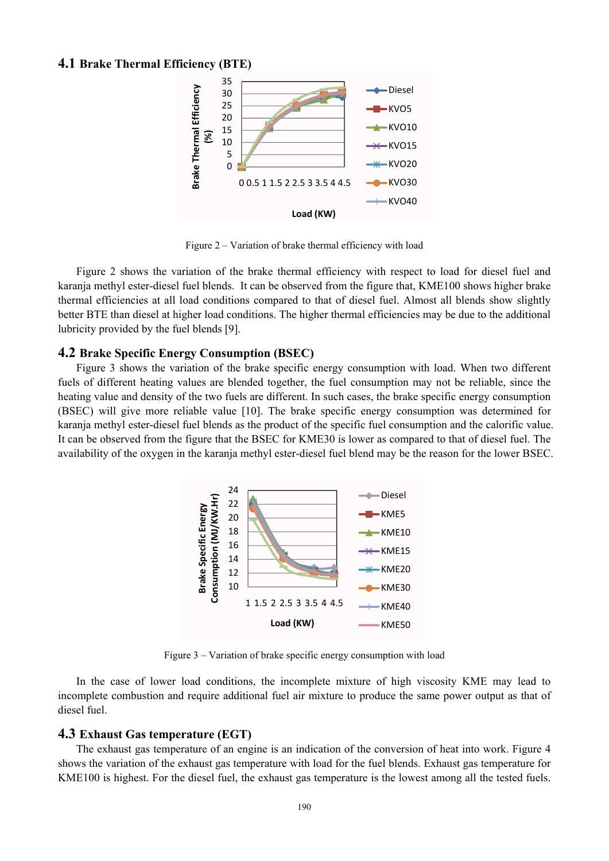#### **4.1 Brake Thermal Efficiency (BTE)**



Figure 2 – Variation of brake thermal efficiency with load

Figure 2 shows the variation of the brake thermal efficiency with respect to load for diesel fuel and karanja methyl ester-diesel fuel blends. It can be observed from the figure that, KME100 shows higher brake thermal efficiencies at all load conditions compared to that of diesel fuel. Almost all blends show slightly better BTE than diesel at higher load conditions. The higher thermal efficiencies may be due to the additional lubricity provided by the fuel blends [9].

#### **4.2 Brake Specific Energy Consumption (BSEC)**

Figure 3 shows the variation of the brake specific energy consumption with load. When two different fuels of different heating values are blended together, the fuel consumption may not be reliable, since the heating value and density of the two fuels are different. In such cases, the brake specific energy consumption (BSEC) will give more reliable value [10]. The brake specific energy consumption was determined for karanja methyl ester-diesel fuel blends as the product of the specific fuel consumption and the calorific value. It can be observed from the figure that the BSEC for KME30 is lower as compared to that of diesel fuel. The availability of the oxygen in the karanja methyl ester-diesel fuel blend may be the reason for the lower BSEC.



Figure 3 – Variation of brake specific energy consumption with load

In the case of lower load conditions, the incomplete mixture of high viscosity KME may lead to incomplete combustion and require additional fuel air mixture to produce the same power output as that of diesel fuel.

#### **4.3 Exhaust Gas temperature (EGT)**

The exhaust gas temperature of an engine is an indication of the conversion of heat into work. Figure 4 shows the variation of the exhaust gas temperature with load for the fuel blends. Exhaust gas temperature for KME100 is highest. For the diesel fuel, the exhaust gas temperature is the lowest among all the tested fuels.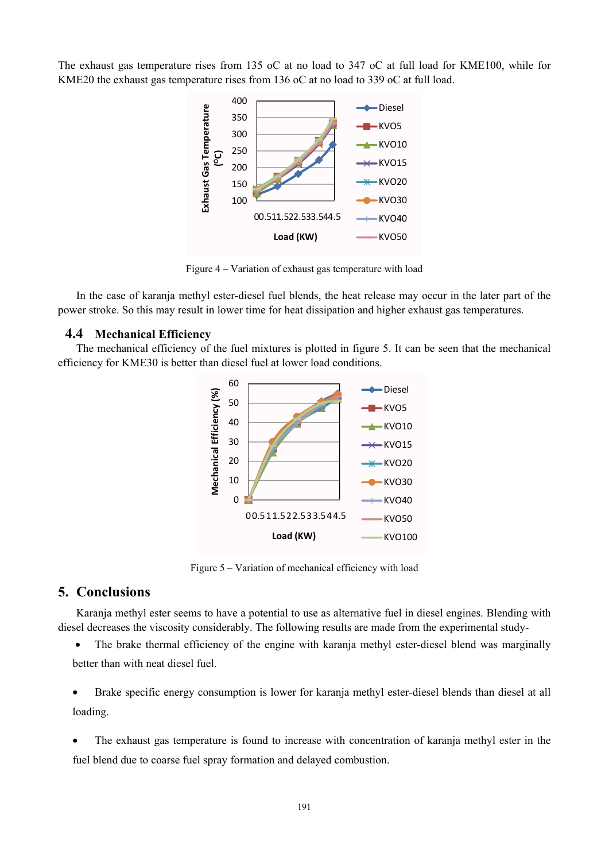The exhaust gas temperature rises from 135 oC at no load to 347 oC at full load for KME100, while for KME20 the exhaust gas temperature rises from 136 oC at no load to 339 oC at full load.



Figure 4 – Variation of exhaust gas temperature with load

In the case of karanja methyl ester-diesel fuel blends, the heat release may occur in the later part of the power stroke. So this may result in lower time for heat dissipation and higher exhaust gas temperatures.

### **4.4 Mechanical Efficiency**

The mechanical efficiency of the fuel mixtures is plotted in figure 5. It can be seen that the mechanical efficiency for KME30 is better than diesel fuel at lower load conditions.



Figure 5 – Variation of mechanical efficiency with load

### **5. Conclusions**

Karanja methyl ester seems to have a potential to use as alternative fuel in diesel engines. Blending with diesel decreases the viscosity considerably. The following results are made from the experimental study-

• The brake thermal efficiency of the engine with karania methyl ester-diesel blend was marginally better than with neat diesel fuel.

• Brake specific energy consumption is lower for karanja methyl ester-diesel blends than diesel at all loading.

• The exhaust gas temperature is found to increase with concentration of karanja methyl ester in the fuel blend due to coarse fuel spray formation and delayed combustion.